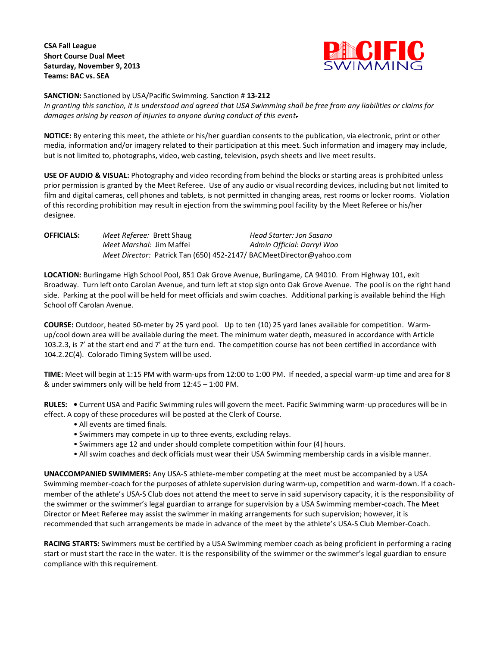**CSA Fall League Short Course Dual Meet Saturday, November 9, 2013 Teams: BAC vs. SEA**



**SANCTION:** Sanctioned by USA/Pacific Swimming. Sanction # **13-212**

*In granting this sanction, it is understood and agreed that USA Swimming shall be free from any liabilities or claims for damages arising by reason of injuries to anyone during conduct of this event.*

**NOTICE:** By entering this meet, the athlete or his/her guardian consents to the publication, via electronic, print or other media, information and/or imagery related to their participation at this meet. Such information and imagery may include, but is not limited to, photographs, video, web casting, television, psych sheets and live meet results.

**USE OF AUDIO & VISUAL:** Photography and video recording from behind the blocks or starting areas is prohibited unless prior permission is granted by the Meet Referee. Use of any audio or visual recording devices, including but not limited to film and digital cameras, cell phones and tablets, is not permitted in changing areas, rest rooms or locker rooms. Violation of this recording prohibition may result in ejection from the swimming pool facility by the Meet Referee or his/her designee.

**OFFICIALS:** *Meet Referee:* Brett Shaug *Head Starter: Jon Sasano Meet Marshal:* Jim Maffei *Admin Official: Darryl Woo Meet Director:* Patrick Tan (650) 452-2147/ BACMeetDirector@yahoo.com

**LOCATION:** Burlingame High School Pool, 851 Oak Grove Avenue, Burlingame, CA 94010. From Highway 101, exit Broadway. Turn left onto Carolan Avenue, and turn left at stop sign onto Oak Grove Avenue. The pool is on the right hand side. Parking at the pool will be held for meet officials and swim coaches. Additional parking is available behind the High School off Carolan Avenue.

**COURSE:** Outdoor, heated 50-meter by 25 yard pool. Up to ten (10) 25 yard lanes available for competition. Warmup/cool down area will be available during the meet. The minimum water depth, measured in accordance with Article 103.2.3, is 7' at the start end and 7' at the turn end. The competition course has not been certified in accordance with 104.2.2C(4). Colorado Timing System will be used.

**TIME:** Meet will begin at 1:15 PM with warm-ups from 12:00 to 1:00 PM. If needed, a special warm-up time and area for 8 & under swimmers only will be held from 12:45 – 1:00 PM.

**RULES: •** Current USA and Pacific Swimming rules will govern the meet. Pacific Swimming warm-up procedures will be in effect. A copy of these procedures will be posted at the Clerk of Course.

- All events are timed finals.
- Swimmers may compete in up to three events, excluding relays.
- Swimmers age 12 and under should complete competition within four (4) hours.
- All swim coaches and deck officials must wear their USA Swimming membership cards in a visible manner.

**UNACCOMPANIED SWIMMERS:** Any USA-S athlete-member competing at the meet must be accompanied by a USA Swimming member-coach for the purposes of athlete supervision during warm-up, competition and warm-down. If a coachmember of the athlete's USA-S Club does not attend the meet to serve in said supervisory capacity, it is the responsibility of the swimmer or the swimmer's legal guardian to arrange for supervision by a USA Swimming member-coach. The Meet Director or Meet Referee may assist the swimmer in making arrangements for such supervision; however, it is recommended that such arrangements be made in advance of the meet by the athlete's USA-S Club Member-Coach.

**RACING STARTS:** Swimmers must be certified by a USA Swimming member coach as being proficient in performing a racing start or must start the race in the water. It is the responsibility of the swimmer or the swimmer's legal guardian to ensure compliance with this requirement.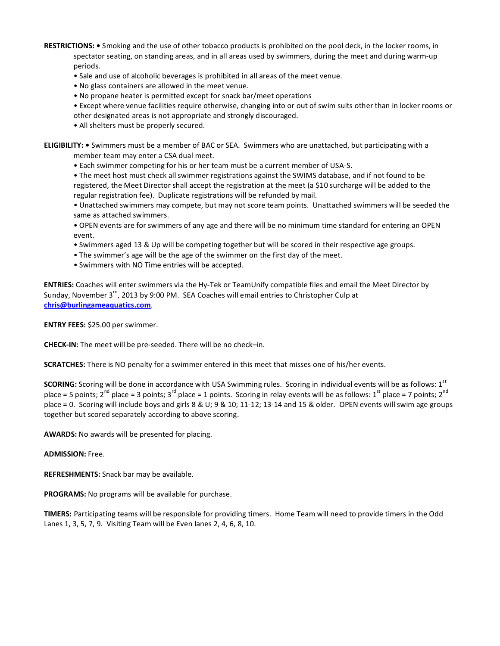**RESTRICTIONS: •** Smoking and the use of other tobacco products is prohibited on the pool deck, in the locker rooms, in spectator seating, on standing areas, and in all areas used by swimmers, during the meet and during warm-up periods.

• Sale and use of alcoholic beverages is prohibited in all areas of the meet venue.

• No glass containers are allowed in the meet venue.

• No propane heater is permitted except for snack bar/meet operations

• Except where venue facilities require otherwise, changing into or out of swim suits other than in locker rooms or other designated areas is not appropriate and strongly discouraged.

• All shelters must be properly secured.

**ELIGIBILITY: •** Swimmers must be a member of BAC or SEA. Swimmers who are unattached, but participating with a member team may enter a CSA dual meet.

• Each swimmer competing for his or her team must be a current member of USA-S.

• The meet host must check all swimmer registrations against the SWIMS database, and if not found to be registered, the Meet Director shall accept the registration at the meet (a \$10 surcharge will be added to the regular registration fee). Duplicate registrations will be refunded by mail.

• Unattached swimmers may compete, but may not score team points. Unattached swimmers will be seeded the same as attached swimmers.

• OPEN events are for swimmers of any age and there will be no minimum time standard for entering an OPEN event.

• Swimmers aged 13 & Up will be competing together but will be scored in their respective age groups.

• The swimmer's age will be the age of the swimmer on the first day of the meet.

• Swimmers with NO Time entries will be accepted.

**ENTRIES:** Coaches will enter swimmers via the Hy-Tek or TeamUnify compatible files and email the Meet Director by Sunday, November 3<sup>rd</sup>, 2013 by 9:00 PM. SEA Coaches will email entries to Christopher Culp at **[chris@burlingameaquatics.com](mailto:chris@burlingameaquatics.com)**.

**ENTRY FEES:** \$25.00 per swimmer.

**CHECK-IN:** The meet will be pre-seeded. There will be no check–in.

**SCRATCHES:** There is NO penalty for a swimmer entered in this meet that misses one of his/her events.

**SCORING:** Scoring will be done in accordance with USA Swimming rules. Scoring in individual events will be as follows: 1<sup>st</sup> place = 5 points;  $2^{nd}$  place = 3 points;  $3^{rd}$  place = 1 points. Scoring in relay events will be as follows:  $1^{st}$  place = 7 points;  $2^{nd}$ place = 0. Scoring will include boys and girls 8 & U; 9 & 10; 11-12; 13-14 and 15 & older. OPEN events will swim age groups together but scored separately according to above scoring.

**AWARDS:** No awards will be presented for placing.

## **ADMISSION:** Free.

**REFRESHMENTS:** Snack bar may be available.

**PROGRAMS:** No programs will be available for purchase.

**TIMERS:** Participating teams will be responsible for providing timers. Home Team will need to provide timers in the Odd Lanes 1, 3, 5, 7, 9. Visiting Team will be Even lanes 2, 4, 6, 8, 10.